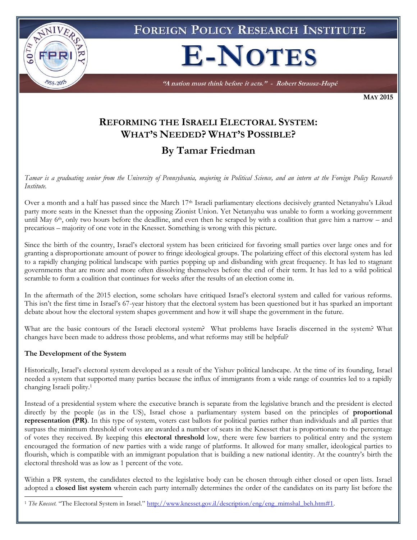

**MAY 2015**

# **REFORMING THE ISRAELI ELECTORAL SYSTEM: WHAT'S NEEDED? WHAT'S POSSIBLE?**

# **By Tamar Friedman**

*Tamar is a graduating senior from the University of Pennsylvania, majoring in Political Science, and an intern at the Foreign Policy Research Institute.*

Over a month and a half has passed since the March 17th Israeli parliamentary elections decisively granted Netanyahu's Likud party more seats in the Knesset than the opposing Zionist Union. Yet Netanyahu was unable to form a working government until May  $6<sup>th</sup>$ , only two hours before the deadline, and even then he scraped by with a coalition that gave him a narrow – and precarious – majority of one vote in the Knesset. Something is wrong with this picture.

Since the birth of the country, Israel's electoral system has been criticized for favoring small parties over large ones and for granting a disproportionate amount of power to fringe ideological groups. The polarizing effect of this electoral system has led to a rapidly changing political landscape with parties popping up and disbanding with great frequency. It has led to stagnant governments that are more and more often dissolving themselves before the end of their term. It has led to a wild political scramble to form a coalition that continues for weeks after the results of an election come in.

In the aftermath of the 2015 election, some scholars have critiqued Israel's electoral system and called for various reforms. This isn't the first time in Israel's 67-year history that the electoral system has been questioned but it has sparked an important debate about how the electoral system shapes government and how it will shape the government in the future.

What are the basic contours of the Israeli electoral system? What problems have Israelis discerned in the system? What changes have been made to address those problems, and what reforms may still be helpful?

#### **The Development of the System**

Historically, Israel's electoral system developed as a result of the Yishuv political landscape. At the time of its founding, Israel needed a system that supported many parties because the influx of immigrants from a wide range of countries led to a rapidly changing Israeli polity.<sup>1</sup>

Instead of a presidential system where the executive branch is separate from the legislative branch and the president is elected directly by the people (as in the US), Israel chose a parliamentary system based on the principles of **proportional representation (PR)**. In this type of system, voters cast ballots for political parties rather than individuals and all parties that surpass the minimum threshold of votes are awarded a number of seats in the Knesset that is proportionate to the percentage of votes they received. By keeping this **electoral threshold** low, there were few barriers to political entry and the system encouraged the formation of new parties with a wide range of platforms. It allowed for many smaller, ideological parties to flourish, which is compatible with an immigrant population that is building a new national identity. At the country's birth the electoral threshold was as low as 1 percent of the vote.

Within a PR system, the candidates elected to the legislative body can be chosen through either closed or open lists. Israel adopted a **closed list system** wherein each party internally determines the order of the candidates on its party list before the

 $\overline{a}$ <sup>1</sup> *The Knesset.* "The Electoral System in Israel." [http://www.knesset.gov.il/description/eng/eng\\_mimshal\\_beh.htm#1.](http://www.knesset.gov.il/description/eng/eng_mimshal_beh.htm#1)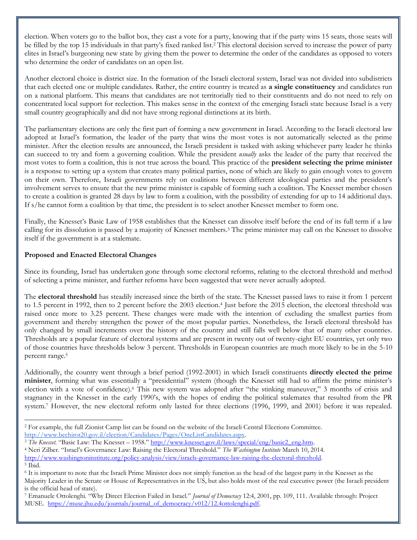election. When voters go to the ballot box, they cast a vote for a party, knowing that if the party wins 15 seats, those seats will be filled by the top 15 individuals in that party's fixed ranked list.<sup>2</sup> This electoral decision served to increase the power of party elites in Israel's burgeoning new state by giving them the power to determine the order of the candidates as opposed to voters who determine the order of candidates on an open list.

Another electoral choice is district size. In the formation of the Israeli electoral system, Israel was not divided into subdistricts that each elected one or multiple candidates. Rather, the entire country is treated as **a single constituency** and candidates run on a national platform. This means that candidates are not territorially tied to their constituents and do not need to rely on concentrated local support for reelection. This makes sense in the context of the emerging Israeli state because Israel is a very small country geographically and did not have strong regional distinctions at its birth.

The parliamentary elections are only the first part of forming a new government in Israel. According to the Israeli electoral law adopted at Israel's formation, the leader of the party that wins the most votes is not automatically selected as the prime minister. After the election results are announced, the Israeli president is tasked with asking whichever party leader he thinks can succeed to try and form a governing coalition. While the president *usually* asks the leader of the party that received the most votes to form a coalition, this is not true across the board. This practice of the **president selecting the prime minister** is a response to setting up a system that creates many political parties, none of which are likely to gain enough votes to govern on their own. Therefore, Israeli governments rely on coalitions between different ideological parties and the president's involvement serves to ensure that the new prime minister is capable of forming such a coalition. The Knesset member chosen to create a coalition is granted 28 days by law to form a coalition, with the possibility of extending for up to 14 additional days. If s/he cannot form a coalition by that time, the president is to select another Knesset member to form one.

Finally, the Knesset's Basic Law of 1958 establishes that the Knesset can dissolve itself before the end of its full term if a law calling for its dissolution is passed by a majority of Knesset members.<sup>3</sup> The prime minister may call on the Knesset to dissolve itself if the government is at a stalemate.

# **Proposed and Enacted Electoral Changes**

Since its founding, Israel has undertaken gone through some electoral reforms, relating to the electoral threshold and method of selecting a prime minister, and further reforms have been suggested that were never actually adopted.

The **electoral threshold** has steadily increased since the birth of the state. The Knesset passed laws to raise it from 1 percent to 1.5 percent in 1992, then to 2 percent before the 2003 election.<sup>4</sup> Just before the 2015 election, the electoral threshold was raised once more to 3.25 percent. These changes were made with the intention of excluding the smallest parties from government and thereby strengthen the power of the most popular parties. Nonetheless, the Israeli electoral threshold has only changed by small increments over the history of the country and still falls well below that of many other countries. Thresholds are a popular feature of electoral systems and are present in twenty out of twenty-eight EU countries, yet only two of those countries have thresholds below 3 percent. Thresholds in European countries are much more likely to be in the 5-10 percent range.<sup>5</sup>

Additionally, the country went through a brief period (1992-2001) in which Israeli constituents **directly elected the prime minister**, forming what was essentially a "presidential" system (though the Knesset still had to affirm the prime minister's election with a vote of confidence).<sup>6</sup> This new system was adopted after "the stinking maneuver," 3 months of crisis and stagnancy in the Knesset in the early 1990's, with the hopes of ending the political stalemates that resulted from the PR system.<sup>7</sup> However, the new electoral reform only lasted for three elections (1996, 1999, and 2001) before it was repealed.

<sup>4</sup> Neri Zilber. "Israel's Governance Law: Raising the Electoral Threshold." *The Washington Institute* March 10, 2014. [http://www.washingtoninstitute.org/policy-analysis/view/israels-governance-law-raising-the-electoral-threshold.](http://www.washingtoninstitute.org/policy-analysis/view/israels-governance-law-raising-the-electoral-threshold)  <sup>5</sup> Ibid.

 $\overline{a}$ <sup>2</sup> For example, the full Zionist Camp list can be found on the website of the Israeli Central Elections Committee. [http://www.bechirot20.gov.il/election/Candidates/Pages/OneListCandidates.aspx.](http://www.bechirot20.gov.il/election/Candidates/Pages/OneListCandidates.aspx) 

<sup>&</sup>lt;sup>3</sup> The Knesset. "Basic Law: The Knesset – 1958." [http://www.knesset.gov.il/laws/special/eng/basic2\\_eng.htm.](http://www.knesset.gov.il/laws/special/eng/basic2_eng.htm)

<sup>6</sup> It is important to note that the Israeli Prime Minister does not simply function as the head of the largest party in the Knesset as the Majority Leader in the Senate or House of Representatives in the US, but also holds most of the real executive power (the Israeli president is the official head of state).

<sup>7</sup> Emanuele Ottolenghi. "Why Direct Election Failed in Israel." *Journal of Democracy* 12:4, 2001, pp. 109, 111. Available through: Project MUSE. [https://muse.jhu.edu/journals/journal\\_of\\_democracy/v012/12.4ottolenghi.pdf.](https://muse.jhu.edu/journals/journal_of_democracy/v012/12.4ottolenghi.pdf)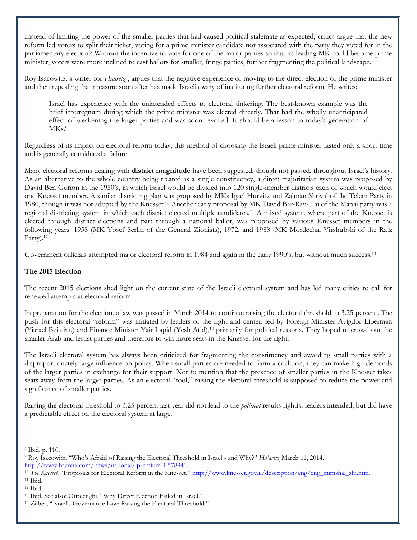Instead of limiting the power of the smaller parties that had caused political stalemate as expected, critics argue that the new reform led voters to split their ticket, voting for a prime minister candidate not associated with the party they voted for in the parliamentary election.<sup>8</sup> Without the incentive to vote for one of the major parties so that its leading MK could become prime minister, voters were more inclined to cast ballots for smaller, fringe parties, further fragmenting the political landscape.

Roy Isacowitz, a writer for *Haaretz* , argues that the negative experience of moving to the direct election of the prime minister and then repealing that measure soon after has made Israelis wary of instituting further electoral reform. He writes:

Israel has experience with the unintended effects to electoral tinkering. The best-known example was the brief interregnum during which the prime minister was elected directly. That had the wholly unanticipated effect of weakening the larger parties and was soon revoked. It should be a lesson to today's generation of MKs.<sup>9</sup>

Regardless of its impact on electoral reform today, this method of choosing the Israeli prime minister lasted only a short time and is generally considered a failure.

Many electoral reforms dealing with **district magnitude** have been suggested, though not passed, throughout Israel's history. As an alternative to the whole country being treated as a single constituency, a direct majoritarian system was proposed by David Ben Gurion in the 1950's, in which Israel would be divided into 120 single-member districts each of which would elect one Knesset member. A similar districting plan was proposed by MKs Igael Hurvitz and Zalman Shoval of the Telem Party in 1980, though it was not adopted by the Knesset.<sup>10</sup> Another early proposal by MK David Bar-Rav-Hai of the Mapai party was a regional districting system in which each district elected multiple candidates.<sup>11</sup> A mixed system, where part of the Knesset is elected through district elections and part through a national ballot, was proposed by various Knesset members in the following years: 1958 (MK Yosef Serlin of the General Zionists), 1972, and 1988 (MK Mordechai Virshubski of the Ratz Party).<sup>12</sup>

Government officials attempted major electoral reform in 1984 and again in the early 1990's, but without much success.<sup>13</sup>

### **The 2015 Election**

The recent 2015 elections shed light on the current state of the Israeli electoral system and has led many critics to call for renewed attempts at electoral reform.

In preparation for the election, a law was passed in March 2014 to continue raising the electoral threshold to 3.25 percent. The push for this electoral "reform" was initiated by leaders of the right and center, led by Foreign Minister Avigdor Liberman (Yisrael Beiteinu) and Finance Minister Yair Lapid (Yesh Atid), <sup>14</sup> primarily for political reasons. They hoped to crowd out the smaller Arab and leftist parties and therefore to win more seats in the Knesset for the right.

The Israeli electoral system has always been criticized for fragmenting the constituency and awarding small parties with a disproportionately large influence on policy. When small parties are needed to form a coalition, they can make high demands of the larger parties in exchange for their support. Not to mention that the presence of smaller parties in the Knesset takes seats away from the larger parties. As an electoral "tool," raising the electoral threshold is supposed to reduce the power and significance of smaller parties.

Raising the electoral threshold to 3.25 percent last year did not lead to the *political* results rightist leaders intended, but did have a predictable effect on the electoral system at large.

 $\overline{a}$ <sup>8</sup> Ibid, p. 110.

<sup>9</sup> Roy Isacowitz. "Who's Afraid of Raising the Electoral Threshold in Israel - and Why?" *Ha'aretz* March 11, 2014. [http://www.haaretz.com/news/national/.premium-1.578941.](http://www.haaretz.com/news/national/.premium-1.578941)

<sup>&</sup>lt;sup>10</sup> *The Knesset*. "Proposals for Electoral Reform in the Knesset." [http://www.knesset.gov.il/description/eng/eng\\_mimshal\\_shi.htm.](http://www.knesset.gov.il/description/eng/eng_mimshal_shi.htm) <sup>11</sup> Ibid.

<sup>12</sup> Ibid.

<sup>13</sup> Ibid. See also: Ottolenghi, "Why Direct Election Failed in Israel."

<sup>14</sup> Zilber, "Israel's Governance Law: Raising the Electoral Threshold."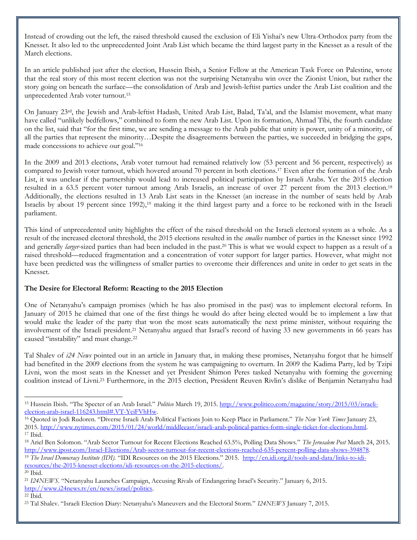Instead of crowding out the left, the raised threshold caused the exclusion of Eli Yishai's new Ultra-Orthodox party from the Knesset. It also led to the unprecedented Joint Arab List which became the third largest party in the Knesset as a result of the March elections.

In an article published just after the election, Hussein Ibish, a Senior Fellow at the American Task Force on Palestine, wrote that the real story of this most recent election was not the surprising Netanyahu win over the Zionist Union, but rather the story going on beneath the surface—the consolidation of Arab and Jewish-leftist parties under the Arab List coalition and the unprecedented Arab voter turnout.<sup>15</sup>

On January 23rd, the Jewish and Arab-leftist Hadash, United Arab List, Balad, Ta'al, and the Islamist movement, what many have called "unlikely bedfellows," combined to form the new Arab List. Upon its formation, Ahmad Tibi, the fourth candidate on the list, said that "for the first time, we are sending a message to the Arab public that unity is power, unity of a minority, of all the parties that represent the minority…Despite the disagreements between the parties, we succeeded in bridging the gaps, made concessions to achieve our goal."<sup>16</sup>

In the 2009 and 2013 elections, Arab voter turnout had remained relatively low (53 percent and 56 percent, respectively) as compared to Jewish voter turnout, which hovered around 70 percent in both elections.<sup>17</sup> Even after the formation of the Arab List, it was unclear if the partnership would lead to increased political participation by Israeli Arabs. Yet the 2015 election resulted in a 63.5 percent voter turnout among Arab Israelis, an increase of over 27 percent from the 2013 election.<sup>18</sup> Additionally, the elections resulted in 13 Arab List seats in the Knesset (an increase in the number of seats held by Arab Israelis by about 19 percent since 1992),<sup>19</sup> making it the third largest party and a force to be reckoned with in the Israeli parliament.

This kind of unprecedented unity highlights the effect of the raised threshold on the Israeli electoral system as a whole. As a result of the increased electoral threshold, the 2015 elections resulted in the *smalles* number of parties in the Knesset since 1992 and generally *larger-*sized parties than had been included in the past.<sup>20</sup> This is what we would expect to happen as a result of a raised threshold—reduced fragmentation and a concentration of voter support for larger parties. However, what might not have been predicted was the willingness of smaller parties to overcome their differences and unite in order to get seats in the Knesset.

# **The Desire for Electoral Reform: Reacting to the 2015 Election**

One of Netanyahu's campaign promises (which he has also promised in the past) was to implement electoral reform. In January of 2015 he claimed that one of the first things he would do after being elected would be to implement a law that would make the leader of the party that won the most seats automatically the next prime minister, without requiring the involvement of the Israeli president.<sup>21</sup> Netanyahu argued that Israel's record of having 33 new governments in 66 years has caused "instability" and must change.<sup>22</sup>

Tal Shalev of *i24 News* pointed out in an article in January that, in making these promises, Netanyahu forgot that he himself had benefited in the 2009 elections from the system he was campaigning to overturn. In 2009 the Kadima Party, led by Tzipi Livni, won the most seats in the Knesset and yet President Shimon Peres tasked Netanyahu with forming the governing coalition instead of Livni.<sup>23</sup> Furthermore, in the 2015 election, President Reuven Rivlin's dislike of Benjamin Netanyahu had

 $\overline{a}$ <sup>15</sup> Hussein Ibish. "The Specter of an Arab Israel." *Politico* March 19, 2015[. http://www.politico.com/magazine/story/2015/03/israeli](http://www.politico.com/magazine/story/2015/03/israeli-election-arab-israel-116243.html#.VT-YciFVhHw)[election-arab-israel-116243.html#.VT-YciFVhHw.](http://www.politico.com/magazine/story/2015/03/israeli-election-arab-israel-116243.html#.VT-YciFVhHw)

<sup>16</sup> Quoted in Jodi Rudoren. "Diverse Israeli Arab Political Factions Join to Keep Place in Parliament." *The New York Times* January 23, 2015. [http://www.nytimes.com/2015/01/24/world/middleeast/israeli-arab-political-parties-form-single-ticket-for-elections.html.](http://www.nytimes.com/2015/01/24/world/middleeast/israeli-arab-political-parties-form-single-ticket-for-elections.html) <sup>17</sup> Ibid.

<sup>18</sup> Ariel Ben Solomon. "Arab Sector Turnout for Recent Elections Reached 63.5%, Polling Data Shows." *The Jerusalem Post* March 24, 2015. [http://www.jpost.com/Israel-Elections/Arab-sector-turnout-for-recent-elections-reached-635-percent-polling-data-shows-394878.](http://www.jpost.com/Israel-Elections/Arab-sector-turnout-for-recent-elections-reached-635-percent-polling-data-shows-394878) 

<sup>&</sup>lt;sup>19</sup> The Israel Democracy Institute (IDI). "IDI Resources on the 2015 Elections." 2015. [http://en.idi.org.il/tools-and-data/links-to-idi](http://en.idi.org.il/tools-and-data/links-to-idi-resources/the-2015-knesset-elections/idi-resources-on-the-2015-elections/)[resources/the-2015-knesset-elections/idi-resources-on-the-2015-elections/.](http://en.idi.org.il/tools-and-data/links-to-idi-resources/the-2015-knesset-elections/idi-resources-on-the-2015-elections/)  $^{\rm 20}$  Ibid.

<sup>21</sup> *I24NEWS.* "Netanyahu Launches Campaign, Accusing Rivals of Endangering Israel's Security." January 6, 2015. [http://www.i24news.tv/en/news/israel/politics.](http://www.i24news.tv/en/news/israel/politics)

<sup>22</sup> Ibid.

<sup>23</sup> Tal Shalev. "Israeli Election Diary: Netanyahu's Maneuvers and the Electoral Storm." *I24NEWS* January 7, 2015.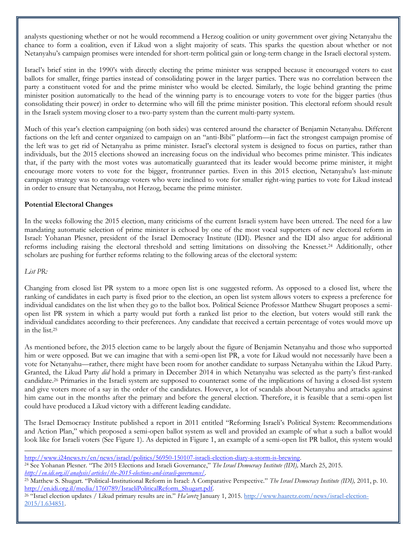analysts questioning whether or not he would recommend a Herzog coalition or unity government over giving Netanyahu the chance to form a coalition, even if Likud won a slight majority of seats. This sparks the question about whether or not Netanyahu's campaign promises were intended for short-term political gain or long-term change in the Israeli electoral system.

Israel's brief stint in the 1990's with directly electing the prime minister was scrapped because it encouraged voters to cast ballots for smaller, fringe parties instead of consolidating power in the larger parties. There was no correlation between the party a constituent voted for and the prime minister who would be elected. Similarly, the logic behind granting the prime minister position automatically to the head of the winning party is to encourage voters to vote for the bigger parties (thus consolidating their power) in order to determine who will fill the prime minister position. This electoral reform should result in the Israeli system moving closer to a two-party system than the current multi-party system.

Much of this year's election campaigning (on both sides) was centered around the character of Benjamin Netanyahu. Different factions on the left and center organized to campaign on an "anti-Bibi" platform—in fact the strongest campaign promise of the left was to get rid of Netanyahu as prime minister. Israel's electoral system is designed to focus on parties, rather than individuals, but the 2015 elections showed an increasing focus on the individual who becomes prime minister. This indicates that, if the party with the most votes was automatically guaranteed that its leader would become prime minister, it might encourage more voters to vote for the bigger, frontrunner parties. Even in this 2015 election, Netanyahu's last-minute campaign strategy was to encourage voters who were inclined to vote for smaller right-wing parties to vote for Likud instead in order to ensure that Netanyahu, not Herzog, became the prime minister.

## **Potential Electoral Changes**

In the weeks following the 2015 election, many criticisms of the current Israeli system have been uttered. The need for a law mandating automatic selection of prime minister is echoed by one of the most vocal supporters of new electoral reform in Israel: Yohanan Plesner, president of the Israel Democracy Institute (IDI). Plesner and the IDI also argue for additional reforms including raising the electoral threshold and setting limitations on dissolving the Knesset.<sup>24</sup> Additionally, other scholars are pushing for further reforms relating to the following areas of the electoral system:

*List PR:*

Changing from closed list PR system to a more open list is one suggested reform. As opposed to a closed list, where the ranking of candidates in each party is fixed prior to the election, an open list system allows voters to express a preference for individual candidates on the list when they go to the ballot box. Political Science Professor Matthew Shugart proposes a semiopen list PR system in which a party would put forth a ranked list prior to the election, but voters would still rank the individual candidates according to their preferences. Any candidate that received a certain percentage of votes would move up in the list.<sup>25</sup>

As mentioned before, the 2015 election came to be largely about the figure of Benjamin Netanyahu and those who supported him or were opposed. But we can imagine that with a semi-open list PR, a vote for Likud would not necessarily have been a vote for Netanyahu—rather, there might have been room for another candidate to surpass Netanyahu within the Likud Party. Granted, the Likud Party *did* hold a primary in December 2014 in which Netanyahu was selected as the party's first-ranked candidate.<sup>26</sup> Primaries in the Israeli system are supposed to counteract some of the implications of having a closed-list system and give voters more of a say in the order of the candidates. However, a lot of scandals about Netanyahu and attacks against him came out in the months after the primary and before the general election. Therefore, it is feasible that a semi-open list could have produced a Likud victory with a different leading candidate.

The Israel Democracy Institute published a report in 2011 entitled "Reforming Israeli's Political System: Recommendations and Action Plan," which proposed a semi-open ballot system as well and provided an example of what a such a ballot would look like for Israeli voters (See Figure 1). As depicted in Figure 1, an example of a semi-open list PR ballot, this system would

 $\overline{a}$ [http://www.i24news.tv/en/news/israel/politics/56950-150107-israeli-election-diary-a-storm-is-brewing.](http://www.i24news.tv/en/news/israel/politics/56950-150107-israeli-election-diary-a-storm-is-brewing) 

<sup>24</sup> See Yohanan Plesner. "The 2015 Elections and Israeli Governance," *The Israel Democracy Institute (IDI),* March 25, 2015. *[http://en.idi.org.il/analysis/articles/the-2015-elections-and-israeli-governance/.](http://en.idi.org.il/analysis/articles/the-2015-elections-and-israeli-governance/)* 

<sup>25</sup> Matthew S. Shugart. "Political-Institutional Reform in Israel: A Comparative Perspective." *The Israel Democracy Institute (IDI),* 2011, p. 10. [http://en.idi.org.il/media/1760789/IsraeliPoliticalReform\\_Shugart.pdf.](http://en.idi.org.il/media/1760789/IsraeliPoliticalReform_Shugart.pdf) 

<sup>26</sup> "Israel election updates / Likud primary results are in." *Ha'aretz* January 1, 2015. [http://www.haaretz.com/news/israel-election-](http://www.haaretz.com/news/israel-election-2015/1.634851)[2015/1.634851.](http://www.haaretz.com/news/israel-election-2015/1.634851)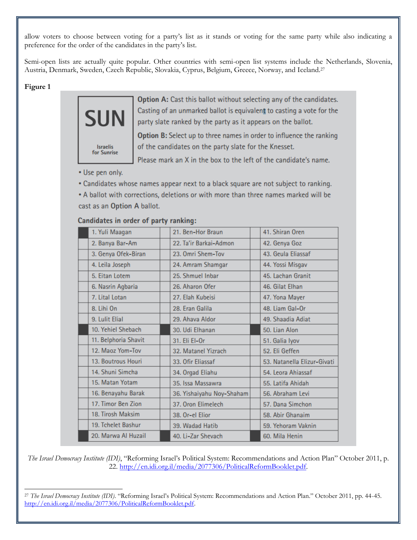allow voters to choose between voting for a party's list as it stands or voting for the same party while also indicating a preference for the order of the candidates in the party's list.

Semi-open lists are actually quite popular. Other countries with semi-open list systems include the Netherlands, Slovenia, Austria, Denmark, Sweden, Czech Republic, Slovakia, Cyprus, Belgium, Greece, Norway, and Iceland.<sup>27</sup>

#### **Figure 1**



Option A: Cast this ballot without selecting any of the candidates. Casting of an unmarked ballot is equivalent to casting a vote for the party slate ranked by the party as it appears on the ballot.

Option B: Select up to three names in order to influence the ranking of the candidates on the party slate for the Knesset.

Please mark an X in the box to the left of the candidate's name.

• Use pen only.

• Candidates whose names appear next to a black square are not subject to ranking.

. A ballot with corrections, deletions or with more than three names marked will be cast as an Option A ballot.

| 1. Yuli Maagan  |                      | 21. Ben-Hor Braun         |               | 41. Shiran Oren             |  |  |  |
|-----------------|----------------------|---------------------------|---------------|-----------------------------|--|--|--|
| 2. Banya Bar-Am |                      | 22. Ta'ir Barkai-Admon    | 42. Genya Goz |                             |  |  |  |
|                 | 3. Genya Ofek-Biran  | 23. Omri Shem-Tov         |               | 43. Geula Eliassaf          |  |  |  |
| 4. Leila Joseph |                      | 24. Amram Shamgar         |               | 44. Yossi Misgav            |  |  |  |
| 5. Eitan Lotem  |                      | 25. Shmuel Inbar          |               | 45. Lachan Granit           |  |  |  |
|                 | 6. Nasrin Agbaria    | 26. Aharon Ofer           |               | 46. Gilat Elhan             |  |  |  |
| 7. Lital Lotan  |                      | 27. Elah Kubeisi          |               | 47. Yona Mayer              |  |  |  |
| 8. Lihi On      |                      | 28. Eran Galila           |               | 48. Liam Gal-Or             |  |  |  |
| 9. Lulit Elial  |                      | 29. Ahava Aldor           |               | 49. Shaadia Adiat           |  |  |  |
|                 | 10. Yehiel Shebach   | 30. Udi Elhanan           |               | 50. Lian Alon               |  |  |  |
|                 | 11. Belphoria Shavit | 31. Eli El-Or             |               | 51. Galia Iyov              |  |  |  |
|                 | 12. Maoz Yom-Tov     | 32. Matanel Yizrach       |               | 52. Eli Geffen              |  |  |  |
|                 | 13. Boutrous Houri   | 33. Ofir Eliassaf         |               | 53. Natanella Elizur-Givati |  |  |  |
|                 | 14. Shuni Simcha     | 34. Orgad Eliahu          |               | 54. Leora Ahiassaf          |  |  |  |
|                 | 15. Matan Yotam      | 35. Issa Massawra         |               | 55. Latifa Ahidah           |  |  |  |
|                 | 16. Benayahu Barak   | 36. Yishaiyahu Noy-Shaham |               | 56. Abraham Levi            |  |  |  |
|                 | 17. Timor Ben Zion   | 37. Oron Elimelech        |               | 57. Dana Simchon            |  |  |  |
|                 | 18. Tirosh Maksim    | 38. Or-el Elior           |               | 58. Abir Ghanaim            |  |  |  |
|                 | 19. Tchelet Bashur   | 39. Wadad Hatib           |               | 59. Yehoram Vaknin          |  |  |  |
|                 | 20. Marwa Al Huzail  | 40. Li-Zar Shevach        |               | 60. Mila Henin              |  |  |  |

#### Candidates in order of narty ranking:

*The Israel Democracy Institute (IDI)*, "Reforming Israel's Political System: Recommendations and Action Plan" October 2011, p. 22. [http://en.idi.org.il/media/2077306/PoliticalReformBooklet.pdf.](http://en.idi.org.il/media/2077306/PoliticalReformBooklet.pdf)

 $\overline{a}$ <sup>27</sup> *The Israel Democracy Institute (IDI)*. "Reforming Israel's Political System: Recommendations and Action Plan." October 2011, pp. 44-45. [http://en.idi.org.il/media/2077306/PoliticalReformBooklet.pdf.](http://en.idi.org.il/media/2077306/PoliticalReformBooklet.pdf)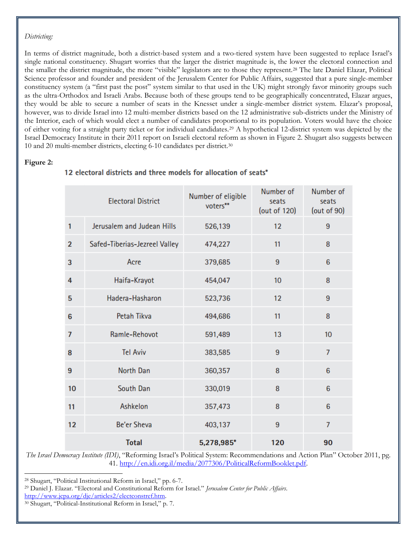#### *Districting:*

In terms of district magnitude, both a district-based system and a two-tiered system have been suggested to replace Israel's single national constituency. Shugart worries that the larger the district magnitude is, the lower the electoral connection and the smaller the district magnitude, the more "visible" legislators are to those they represent.<sup>28</sup> The late Daniel Elazar, Political Science professor and founder and president of the Jerusalem Center for Public Affairs, suggested that a pure single-member constituency system (a "first past the post" system similar to that used in the UK) might strongly favor minority groups such as the ultra-Orthodox and Israeli Arabs. Because both of these groups tend to be geographically concentrated, Elazar argues, they would be able to secure a number of seats in the Knesset under a single-member district system. Elazar's proposal, however, was to divide Israel into 12 multi-member districts based on the 12 administrative sub-districts under the Ministry of the Interior, each of which would elect a number of candidates proportional to its population. Voters would have the choice of either voting for a straight party ticket or for individual candidates.<sup>29</sup> A hypothetical 12-district system was depicted by the Israel Democracy Institute in their 2011 report on Israeli electoral reform as shown in Figure 2. Shugart also suggests between 10 and 20 multi-member districts, electing 6-10 candidates per district.<sup>30</sup>

#### **Figure 2:**

l

| <b>Electoral District</b> |                               | Number of eligible<br>voters** | Number of<br>seats<br>(out of 120) | Number of<br>seats<br>(out of 90) |
|---------------------------|-------------------------------|--------------------------------|------------------------------------|-----------------------------------|
| 1                         | Jerusalem and Judean Hills    | 526,139                        | 12                                 | 9                                 |
| $\overline{2}$            | Safed-Tiberias-Jezreel Valley | 474,227                        | 11                                 | 8                                 |
| 3                         | Acre                          | 379,685                        | 9                                  | 6                                 |
| 4                         | Haifa-Krayot                  | 454,047                        | 10                                 | 8                                 |
| 5                         | Hadera-Hasharon               | 523,736                        | 12                                 | 9                                 |
| $6\phantom{1}6$           | Petah Tikva                   | 494,686                        | 11                                 | 8                                 |
| $\overline{7}$            | Ramle-Rehovot                 | 591,489                        | 13                                 | 10                                |
| 8                         | <b>Tel Aviv</b>               | 383,585                        | 9                                  | $\overline{7}$                    |
| 9                         | North Dan                     | 360,357                        | 8                                  | $6\phantom{1}6$                   |
| 10                        | South Dan                     | 330,019                        | 8                                  | 6                                 |
| 11                        | Ashkelon                      | 357,473                        | 8                                  | 6                                 |
| 12                        | <b>Be'er Sheva</b>            | 403,137                        | 9                                  | $\overline{7}$                    |
|                           | <b>Total</b>                  | 5,278,985*                     | 120                                | 90                                |

# 12 electoral districts and three models for allocation of seats\*

*The Israel Democracy Institute (IDI)*, "Reforming Israel's Political System: Recommendations and Action Plan" October 2011, pg. 41. [http://en.idi.org.il/media/2077306/PoliticalReformBooklet.pdf.](http://en.idi.org.il/media/2077306/PoliticalReformBooklet.pdf)

<sup>28</sup> Shugart, "Political Institutional Reform in Israel," pp. 6-7.

<sup>29</sup> Daniel J. Elazar. "Electoral and Constitutional Reform for Israel." *Jerusalem Center for Public Affairs*.

[http://www.jcpa.org/dje/articles2/electconstref.htm.](http://www.jcpa.org/dje/articles2/electconstref.htm)

<sup>30</sup> Shugart, "Political-Institutional Reform in Israel," p. 7.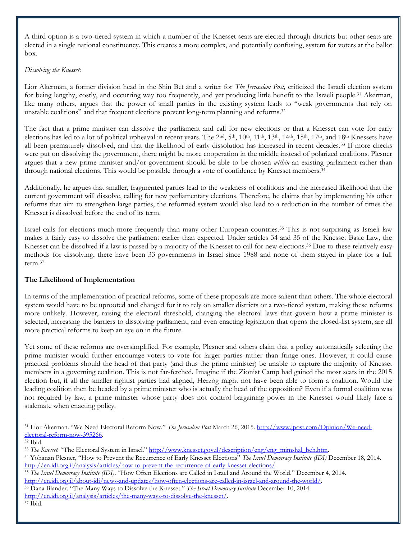A third option is a two-tiered system in which a number of the Knesset seats are elected through districts but other seats are elected in a single national constituency. This creates a more complex, and potentially confusing, system for voters at the ballot box.

#### *Dissolving the Knesset:*

Lior Akerman, a former division head in the Shin Bet and a writer for *The Jerusalem Post,* criticized the Israeli election system for being lengthy, costly, and occurring way too frequently, and yet producing little benefit to the Israeli people.<sup>31</sup> Akerman, like many others, argues that the power of small parties in the existing system leads to "weak governments that rely on unstable coalitions" and that frequent elections prevent long-term planning and reforms.<sup>32</sup>

The fact that a prime minister can dissolve the parliament and call for new elections or that a Knesset can vote for early elections has led to a lot of political upheaval in recent years. The  $2<sup>nd</sup>$ ,  $5<sup>th</sup>$ ,  $10<sup>th</sup>$ ,  $11<sup>th</sup>$ ,  $13<sup>th</sup>$ ,  $14<sup>th</sup>$ ,  $15<sup>th</sup>$ ,  $17<sup>th</sup>$ , and  $18<sup>th</sup>$  Knessets have all been prematurely dissolved, and that the likelihood of early dissolution has increased in recent decades.<sup>33</sup> If more checks were put on dissolving the government, there might be more cooperation in the middle instead of polarized coalitions. Plesner argues that a new prime minister and/or government should be able to be chosen *within* an existing parliament rather than through national elections. This would be possible through a vote of confidence by Knesset members.<sup>34</sup>

Additionally, he argues that smaller, fragmented parties lead to the weakness of coalitions and the increased likelihood that the current government will dissolve, calling for new parliamentary elections. Therefore, he claims that by implementing his other reforms that aim to strengthen large parties, the reformed system would also lead to a reduction in the number of times the Knesset is dissolved before the end of its term.

Israel calls for elections much more frequently than many other European countries.<sup>35</sup> This is not surprising as Israeli law makes it fairly easy to dissolve the parliament earlier than expected. Under articles 34 and 35 of the Knesset Basic Law, the Knesset can be dissolved if a law is passed by a majority of the Knesset to call for new elections.<sup>36</sup> Due to these relatively easy methods for dissolving, there have been 33 governments in Israel since 1988 and none of them stayed in place for a full term.<sup>37</sup>

# **The Likelihood of Implementation**

In terms of the implementation of practical reforms, some of these proposals are more salient than others. The whole electoral system would have to be uprooted and changed for it to rely on smaller districts or a two-tiered system, making these reforms more unlikely. However, raising the electoral threshold, changing the electoral laws that govern how a prime minister is selected, increasing the barriers to dissolving parliament, and even enacting legislation that opens the closed-list system, are all more practical reforms to keep an eye on in the future.

Yet some of these reforms are oversimplified. For example, Plesner and others claim that a policy automatically selecting the prime minister would further encourage voters to vote for larger parties rather than fringe ones. However, it could cause practical problems should the head of that party (and thus the prime minister) be unable to capture the majority of Knesset members in a governing coalition. This is not far-fetched. Imagine if the Zionist Camp had gained the most seats in the 2015 election but, if all the smaller rightist parties had aligned, Herzog might not have been able to form a coalition. Would the leading coalition then be headed by a prime minister who is actually the head of the opposition? Even if a formal coalition was not required by law, a prime minister whose party does not control bargaining power in the Knesset would likely face a stalemate when enacting policy.

 $\overline{a}$ 

<sup>31</sup> Lior Akerman. "We Need Electoral Reform Now." *The Jerusalem Post* March 26, 2015. [http://www.jpost.com/Opinion/We-need](http://www.jpost.com/Opinion/We-need-electoral-reform-now-395266)[electoral-reform-now-395266.](http://www.jpost.com/Opinion/We-need-electoral-reform-now-395266) 

<sup>32</sup> Ibid.

<sup>&</sup>lt;sup>33</sup> *The Knesset.* "The Electoral System in Israel." http://www.knesset.gov.il/description/eng/eng\_mimshal\_beh.htm.

<sup>34</sup> Yohanan Plesner, "How to Prevent the Recurrence of Early Knesset Elections" *The Israel Democracy Institute (IDI)* December 18, 2014. [http://en.idi.org.il/analysis/articles/how-to-prevent-the-recurrence-of-early-knesset-elections/.](http://en.idi.org.il/analysis/articles/how-to-prevent-the-recurrence-of-early-knesset-elections/)

<sup>35</sup> *The Israel Democracy Institute (IDI)*. "How Often Elections are Called in Israel and Around the World." December 4, 2014. [http://en.idi.org.il/about-idi/news-and-updates/how-often-elections-are-called-in-israel-and-around-the-world/.](http://en.idi.org.il/about-idi/news-and-updates/how-often-elections-are-called-in-israel-and-around-the-world/)

<sup>36</sup> Dana Blander. "The Many Ways to Dissolve the Knesset." *The Israel Democracy Institute* December 10, 2014. [http://en.idi.org.il/analysis/articles/the-many-ways-to-dissolve-the-knesset/.](http://en.idi.org.il/analysis/articles/the-many-ways-to-dissolve-the-knesset/)

<sup>37</sup> Ibid.